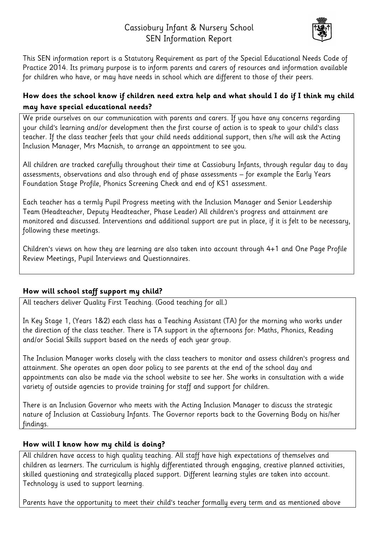# Cassiobury Infant & Nursery School SEN Information Report



This SEN information report is a Statutory Requirement as part of the Special Educational Needs Code of Practice 2014. Its primary purpose is to inform parents and carers of resources and information available for children who have, or may have needs in school which are different to those of their peers.

## **How does the school know if children need extra help and what should I do if I think my child may have special educational needs?**

We pride ourselves on our communication with parents and carers. If you have any concerns regarding your child's learning and/or development then the first course of action is to speak to your child's class teacher. If the class teacher feels that your child needs additional support, then s/he will ask the Acting Inclusion Manager, Mrs Macnish, to arrange an appointment to see you.

All children are tracked carefully throughout their time at Cassiobury Infants, through regular day to day assessments, observations and also through end of phase assessments – for example the Early Years Foundation Stage Profile, Phonics Screening Check and end of KS1 assessment.

Each teacher has a termly Pupil Progress meeting with the Inclusion Manager and Senior Leadership Team (Headteacher, Deputy Headteacher, Phase Leader) All children's progress and attainment are monitored and discussed. Interventions and additional support are put in place, if it is felt to be necessary, following these meetings.

Children's views on how they are learning are also taken into account through 4+1 and One Page Profile Review Meetings, Pupil Interviews and Questionnaires.

## **How will school staff support my child?**

All teachers deliver Quality First Teaching. (Good teaching for all.)

In Key Stage 1, (Years 1&2) each class has a Teaching Assistant (TA) for the morning who works under the direction of the class teacher. There is TA support in the afternoons for: Maths, Phonics, Reading and/or Social Skills support based on the needs of each year group.

The Inclusion Manager works closely with the class teachers to monitor and assess children's progress and attainment. She operates an open door policy to see parents at the end of the school day and appointments can also be made via the school website to see her. She works in consultation with a wide variety of outside agencies to provide training for staff and support for children.

There is an Inclusion Governor who meets with the Acting Inclusion Manager to discuss the strategic nature of Inclusion at Cassiobury Infants. The Governor reports back to the Governing Body on his/her findings.

## **How will I know how my child is doing?**

All children have access to high quality teaching. All staff have high expectations of themselves and children as learners. The curriculum is highly differentiated through engaging, creative planned activities, skilled questioning and strategically placed support. Different learning styles are taken into account. Technology is used to support learning.

Parents have the opportunity to meet their child's teacher formally every term and as mentioned above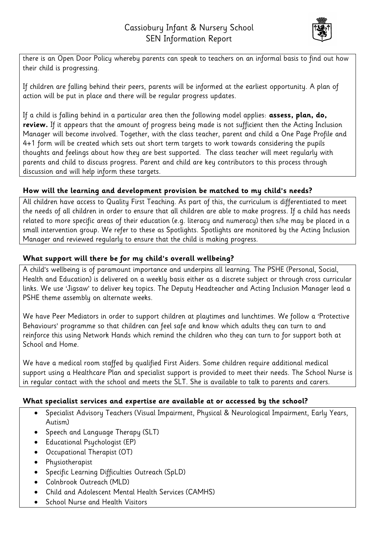

there is an Open Door Policy whereby parents can speak to teachers on an informal basis to find out how their child is progressing.

If children are falling behind their peers, parents will be informed at the earliest opportunity. A plan of action will be put in place and there will be regular progress updates.

If a child is falling behind in a particular area then the following model applies: **assess, plan, do, review.** If it appears that the amount of progress being made is not sufficient then the Acting Inclusion Manager will become involved. Together, with the class teacher, parent and child a One Page Profile and 4+1 form will be created which sets out short term targets to work towards considering the pupils thoughts and feelings about how they are best supported. The class teacher will meet regularly with parents and child to discuss progress. Parent and child are key contributors to this process through discussion and will help inform these targets.

## **How will the learning and development provision be matched to my child's needs?**

All children have access to Quality First Teaching. As part of this, the curriculum is differentiated to meet the needs of all children in order to ensure that all children are able to make progress. If a child has needs related to more specific areas of their education (e.g. literacy and numeracy) then s/he may be placed in a small intervention group. We refer to these as Spotlights. Spotlights are monitored by the Acting Inclusion Manager and reviewed regularly to ensure that the child is making progress.

## **What support will there be for my child's overall wellbeing?**

A child's wellbeing is of paramount importance and underpins all learning. The PSHE (Personal, Social, Health and Education) is delivered on a weekly basis either as a discrete subject or through cross curricular links. We use 'Jigsaw' to deliver key topics. The Deputy Headteacher and Acting Inclusion Manager lead a PSHE theme assembly on alternate weeks.

We have Peer Mediators in order to support children at playtimes and lunchtimes. We follow a 'Protective Behaviours' programme so that children can feel safe and know which adults they can turn to and reinforce this using Network Hands which remind the children who they can turn to for support both at School and Home.

We have a medical room staffed by qualified First Aiders. Some children require additional medical support using a Healthcare Plan and specialist support is provided to meet their needs. The School Nurse is in regular contact with the school and meets the SLT. She is available to talk to parents and carers.

## **What specialist services and expertise are available at or accessed by the school?**

- Specialist Advisory Teachers (Visual Impairment, Physical & Neurological Impairment, Early Years, Autism)
- Speech and Language Therapy (SLT)
- Educational Psychologist (EP)
- Occupational Therapist (OT)
- Physiotherapist
- Specific Learning Difficulties Outreach (SpLD)
- Colnbrook Outreach (MLD)
- Child and Adolescent Mental Health Services (CAMHS)
- School Nurse and Health Visitors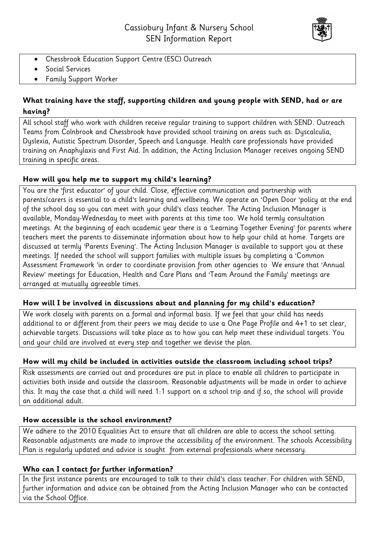

- Chessbrook Education Support Centre (ESC) Outreach
- **•** Social Services
- Family Support Worker

## **What training have the staff, supporting children and young people with SEND, had or are having?**

All school staff who work with children receive regular training to support children with SEND. Outreach Teams from Colnbrook and Chessbrook have provided school training on areas such as: Dyscalculia, Dyslexia, Autistic Spectrum Disorder, Speech and Language. Health care professionals have provided training on Anaphylaxis and First Aid. In addition, the Acting Inclusion Manager receives ongoing SEND training in specific areas.

## **How will you help me to support my child's learning?**

You are the 'first educator' of your child. Close, effective communication and partnership with parents/carers is essential to a child's learning and wellbeing. We operate an 'Open Door 'policy at the end of the school day so you can meet with your child's class teacher. The Acting Inclusion Manager is available, Monday-Wednesday to meet with parents at this time too. We hold termly consultation meetings. At the beginning of each academic year there is a 'Learning Together Evening' for parents where teachers meet the parents to disseminate information about how to help your child at home. Targets are discussed at termly 'Parents Evening'. The Acting Inclusion Manager is available to support you at these meetings. If needed the school will support families with multiple issues by completing a 'Common Assessment Framework 'in order to coordinate provision from other agencies to We ensure that 'Annual Review' meetings for Education, Health and Care Plans and 'Team Around the Family' meetings are arranged at mutually agreeable times.

#### **How will I be involved in discussions about and planning for my child's education?**

We work closely with parents on a formal and informal basis. If we feel that your child has needs additional to or different from their peers we may decide to use a One Page Profile and 4+1 to set clear, achievable targets. Discussions will take place as to how you can help meet these individual targets. You and your child are involved at every step and together we devise the plan.

## **How will my child be included in activities outside the classroom including school trips?**

Risk assessments are carried out and procedures are put in place to enable all children to participate in activities both inside and outside the classroom. Reasonable adjustments will be made in order to achieve this. It may the case that a child will need 1:1 support on a school trip and if so, the school will provide an additional adult.

#### **How accessible is the school environment?**

We adhere to the 2010 Equalities Act to ensure that all children are able to access the school setting. Reasonable adjustments are made to improve the accessibility of the environment. The schools Accessibility Plan is regularly updated and advice is sought from external professionals where necessary.

#### **Who can I contact for further information?**

In the first instance parents are encouraged to talk to their child's class teacher. For children with SEND, further information and advice can be obtained from the Acting Inclusion Manager who can be contacted via the School Office.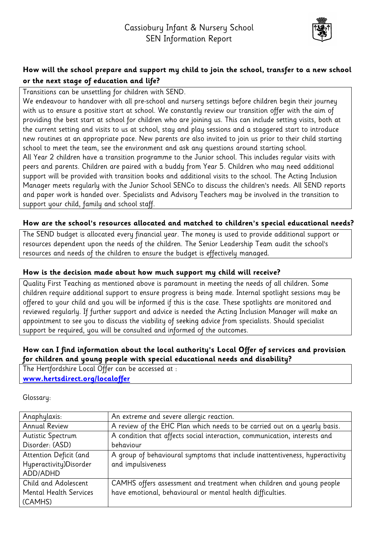

## **How will the school prepare and support my child to join the school, transfer to a new school or the next stage of education and life?**

Transitions can be unsettling for children with SEND.

We endeavour to handover with all pre-school and nursery settings before children begin their journey with us to ensure a positive start at school. We constantly review our transition offer with the aim of providing the best start at school for children who are joining us. This can include setting visits, both at the current setting and visits to us at school, stay and play sessions and a staggered start to introduce new routines at an appropriate pace. New parents are also invited to join us prior to their child starting school to meet the team, see the environment and ask any questions around starting school. All Year 2 children have a transition programme to the Junior school. This includes regular visits with peers and parents. Children are paired with a buddy from Year 5. Children who may need additional support will be provided with transition books and additional visits to the school. The Acting Inclusion Manager meets regularly with the Junior School SENCo to discuss the children's needs. All SEND reports and paper work is handed over. Specialists and Advisory Teachers may be involved in the transition to support your child, family and school staff.

#### **How are the school's resources allocated and matched to children's special educational needs?**

The SEND budget is allocated every financial year. The money is used to provide additional support or resources dependent upon the needs of the children. The Senior Leadership Team audit the school's resources and needs of the children to ensure the budget is effectively managed.

## **How is the decision made about how much support my child will receive?**

Quality First Teaching as mentioned above is paramount in meeting the needs of all children. Some children require additional support to ensure progress is being made. Internal spotlight sessions may be offered to your child and you will be informed if this is the case. These spotlights are monitored and reviewed regularly. If further support and advice is needed the Acting Inclusion Manager will make an appointment to see you to discuss the viability of seeking advice from specialists. Should specialist support be required, you will be consulted and informed of the outcomes.

## **How can I find information about the local authority's Local Offer of services and provision for children and young people with special educational needs and disability?**

The Hertfordshire Local Offer can be accessed at : **[www.hertsdirect.org/localoffer](http://www.hertsdirect.org/localoffer)**

Glossary:

| Anaphylaxis:                  | An extreme and severe allergic reaction.                                    |
|-------------------------------|-----------------------------------------------------------------------------|
| <b>Annual Review</b>          | A review of the EHC Plan which needs to be carried out on a yearly basis.   |
| Autistic Spectrum             | A condition that affects social interaction, communication, interests and   |
| Disorder: (ASD)               | behaviour                                                                   |
| Attention Deficit (and        | A group of behavioural symptoms that include inattentiveness, hyperactivity |
| Hyperactivity)Disorder        | and impulsiveness                                                           |
| ADD/ADHD                      |                                                                             |
| Child and Adolescent          | CAMHS offers assessment and treatment when children and young people        |
| <b>Mental Health Services</b> | have emotional, behavioural or mental health difficulties.                  |
| (CAMHS)                       |                                                                             |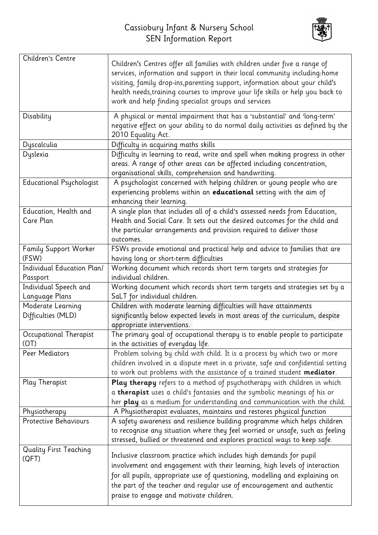

| Children's Centre               |                                                                                 |
|---------------------------------|---------------------------------------------------------------------------------|
|                                 | Children's Centres offer all families with children under five a range of       |
|                                 | services, information and support in their local community including:home       |
|                                 | visiting, family drop-ins, parenting support, information about your child's    |
|                                 | health needs, training courses to improve your life skills or help you back to  |
|                                 | work and help finding specialist groups and services                            |
| Disability                      | A physical or mental impairment that has a 'substantial' and 'long-term'        |
|                                 | negative effect on your ability to do normal daily activities as defined by the |
|                                 | 2010 Equality Act.                                                              |
| Dyscalculia                     | Difficulty in acquiring maths skills                                            |
| Dyslexia                        | Difficulty in learning to read, write and spell when making progress in other   |
|                                 | areas. A range of other areas can be affected including concentration,          |
|                                 | organisational skills, comprehension and handwriting.                           |
| <b>Educational Psychologist</b> | A psychologist concerned with helping children or young people who are          |
|                                 | experiencing problems within an educational setting with the aim of             |
|                                 | enhancing their learning.                                                       |
| Education, Health and           | A single plan that includes all of a child's assessed needs from Education,     |
| Care Plan                       | Health and Social Care. It sets out the desired outcomes for the child and      |
|                                 | the particular arrangements and provision required to deliver those             |
|                                 | outcomes.                                                                       |
| <b>Family Support Worker</b>    | FSWs provide emotional and practical help and advice to families that are       |
| (FSW)                           | having long or short-term difficulties                                          |
| Individual Education Plan/      | Working document which records short term targets and strategies for            |
| Passport                        | individual children.                                                            |
| Individual Speech and           | Working document which records short term targets and strategies set by a       |
| Language Plans                  | SaLT for individual children.                                                   |
| Moderate Learning               | Children with moderate learning difficulties will have attainments              |
| Difficulties (MLD)              | significantly below expected levels in most areas of the curriculum, despite    |
|                                 | appropriate interventions.                                                      |
| Occupational Therapist          | The primary goal of occupational therapy is to enable people to participate     |
| (OT)                            | in the activities of everyday life.                                             |
| Peer Mediators                  | Problem solving by child with child. It is a process by which two or more       |
|                                 | children involved in a dispute meet in a private, safe and confidential setting |
|                                 | to work out problems with the assistance of a trained student mediator.         |
| Play Therapist                  | Play therapy refers to a method of psychotherapy with children in which         |
|                                 | a therapist uses a child's fantasies and the symbolic meanings of his or        |
|                                 | her play as a medium for understanding and communication with the child.        |
| Physiotherapy                   | A Physiotherapist evaluates, maintains and restores physical function           |
| Protective Behaviours           | A safety awareness and resilience building programme which helps children       |
|                                 | to recognise any situation where they feel worried or unsafe, such as feeling   |
|                                 | stressed, bullied or threatened and explores practical ways to keep safe.       |
| <b>Quality First Teaching</b>   |                                                                                 |
| (QFT)                           | Inclusive classroom practice which includes high demands for pupil              |
|                                 | involvement and engagement with their learning, high levels of interaction      |
|                                 | for all pupils, appropriate use of questioning, modelling and explaining on     |
|                                 | the part of the teacher and regular use of encouragement and authentic          |
|                                 | praise to engage and motivate children.                                         |
|                                 |                                                                                 |